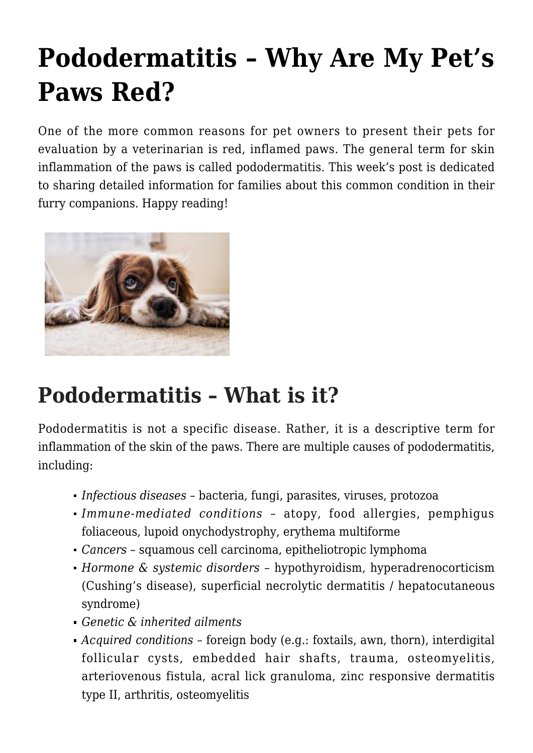# **[Pododermatitis – Why Are My Pet's](https://criticalcaredvm.com/pododermatitis-pets-paws-red/) [Paws Red?](https://criticalcaredvm.com/pododermatitis-pets-paws-red/)**

One of the more common reasons for pet owners to present their pets for evaluation by a veterinarian is red, inflamed paws. The general term for skin inflammation of the paws is called pododermatitis. This week's post is dedicated to sharing detailed information for families about this common condition in their furry companions. Happy reading!



## **Pododermatitis – What is it?**

Pododermatitis is not a specific disease. Rather, it is a descriptive term for inflammation of the skin of the paws. There are multiple causes of pododermatitis, including:

- *Infectious diseases* bacteria, fungi, parasites, viruses, protozoa
- *Immune-mediated conditions* atopy, [food allergies,](https://criticalcaredvm.com/food-allergies-dogs-cats/) pemphigus foliaceous, lupoid onychodystrophy, erythema multiforme
- *Cancers* squamous cell carcinoma, epitheliotropic lymphoma
- *Hormone & systemic disorders* [hypothyroidism,](https://criticalcaredvm.com/hypothyroidism-in-dogs/) [hyperadrenocorticism](https://criticalcaredvm.com/cushings-disease-explained/) [\(Cushing's disease\),](https://criticalcaredvm.com/cushings-disease-explained/) superficial necrolytic dermatitis / hepatocutaneous syndrome)
- *Genetic & inherited ailments*
- *Acquired conditions* foreign body (e.g.: foxtails, awn, thorn), interdigital follicular cysts, embedded hair shafts, trauma, osteomyelitis, arteriovenous fistula, acral lick granuloma, zinc responsive dermatitis type II, arthritis, osteomyelitis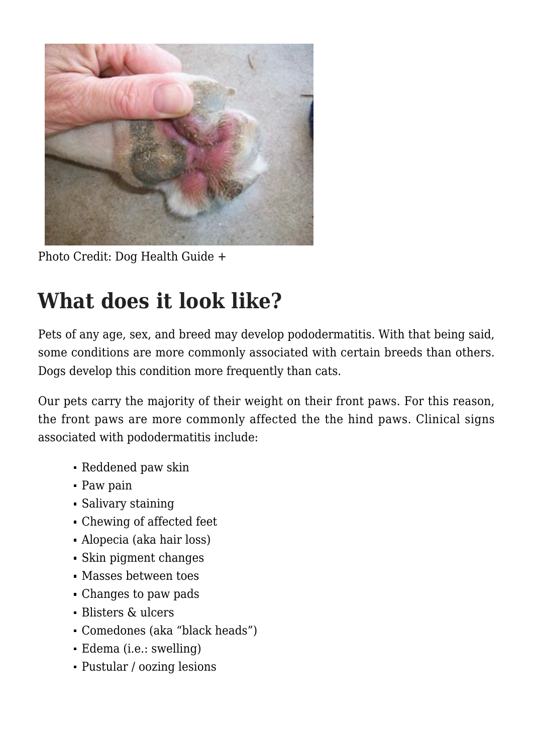

Photo Credit: [Dog Health Guide +](https://www.dog-health-guide.org/sores-between-dog-toes.html)

## **What does it look like?**

Pets of any age, sex, and breed may develop pododermatitis. With that being said, some conditions are more commonly associated with certain breeds than others. Dogs develop this condition more frequently than cats.

Our pets carry the majority of their weight on their front paws. For this reason, the front paws are more commonly affected the the hind paws. Clinical signs associated with pododermatitis include:

- Reddened paw skin
- Paw pain
- Salivary staining
- Chewing of affected feet
- Alopecia (aka hair loss)
- Skin pigment changes
- Masses between toes
- Changes to paw pads
- Blisters & ulcers
- Comedones (aka "black heads")
- Edema (i.e.: swelling)
- Pustular / oozing lesions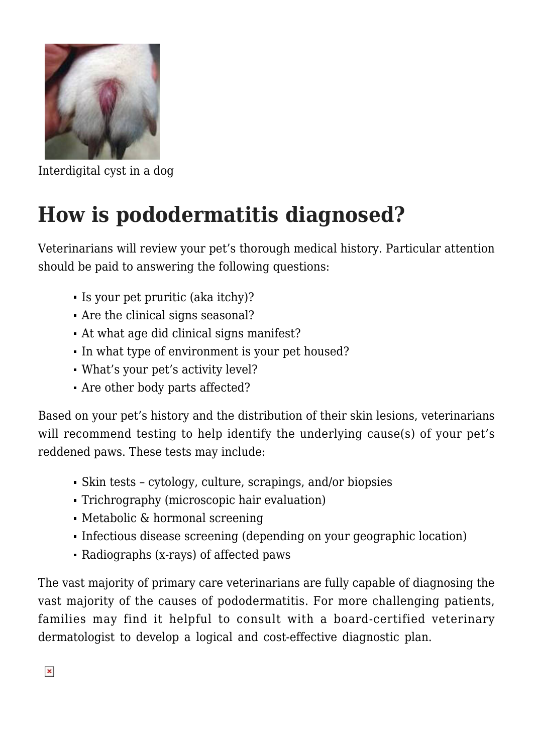

Interdigital cyst in a dog

## **How is pododermatitis diagnosed?**

Veterinarians will review your pet's thorough medical history. Particular attention should be paid to answering the following questions:

- Is your pet [pruritic](https://criticalcaredvm.com/pruritus-dogs-cats/) (aka itchy)?
- Are the clinical signs seasonal?
- At what age did clinical signs manifest?
- In what type of environment is your pet housed?
- What's your pet's activity level?
- Are other body parts affected?

Based on your pet's history and the distribution of their skin lesions, veterinarians will recommend testing to help identify the underlying cause(s) of your pet's reddened paws. These tests may include:

- Skin tests cytology, culture, scrapings, and/or biopsies
- Trichrography (microscopic hair evaluation)
- Metabolic & hormonal screening
- Infectious disease screening (depending on your geographic location)
- Radiographs (x-rays) of affected paws

The vast majority of primary care veterinarians are fully capable of diagnosing the vast majority of the causes of pododermatitis. For more challenging patients, families may find it helpful to consult with a board-certified veterinary dermatologist to develop a logical and cost-effective diagnostic plan.